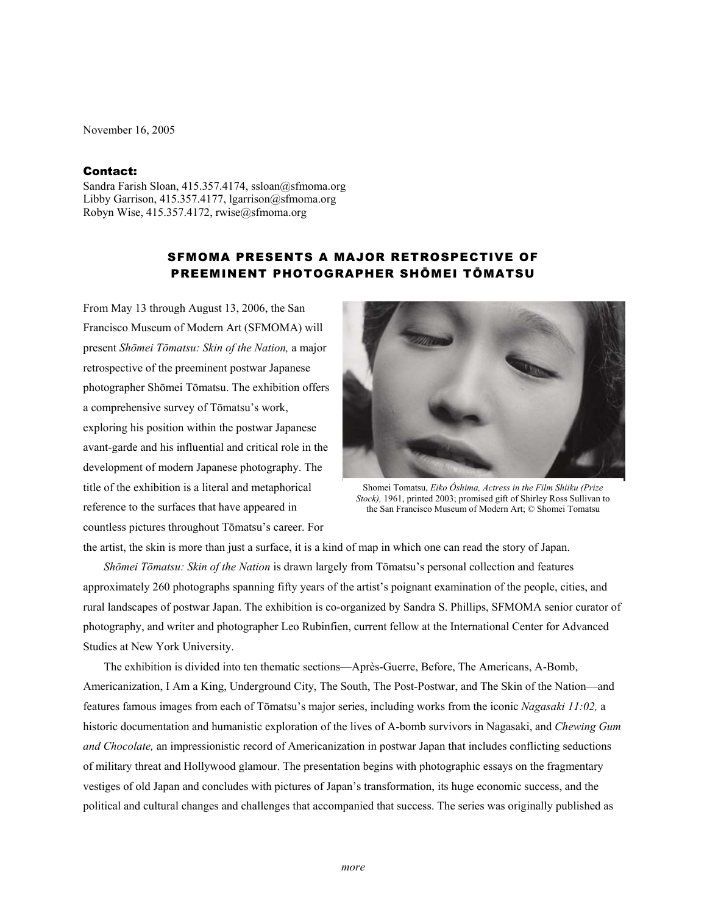November 16, 2005

## Contact:

Sandra Farish Sloan, 415.357.4174, ssloan@sfmoma.org Libby Garrison, 415.357.4177, lgarrison@sfmoma.org Robyn Wise, 415.357.4172, rwise@sfmoma.org

## SFMOMA PRESENTS A MAJOR RETROSPECTIVE OF PREEMINENT PHOTOGRAPHER SHŌMEI TŌMATSU

From May 13 through August 13, 2006, the San Francisco Museum of Modern Art (SFMOMA) will present *Shōmei Tōmatsu: Skin of the Nation,* a major retrospective of the preeminent postwar Japanese photographer Shōmei Tōmatsu. The exhibition offers a comprehensive survey of Tōmatsu's work, exploring his position within the postwar Japanese avant-garde and his influential and critical role in the development of modern Japanese photography. The title of the exhibition is a literal and metaphorical reference to the surfaces that have appeared in countless pictures throughout Tōmatsu's career. For



Shomei Tomatsu, *Eiko Ôshima, Actress in the Film Shiiku (Prize Stock),* 1961, printed 2003; promised gift of Shirley Ross Sullivan to the San Francisco Museum of Modern Art; © Shomei Tomatsu

the artist, the skin is more than just a surface, it is a kind of map in which one can read the story of Japan.

*Shōmei Tōmatsu: Skin of the Nation* is drawn largely from Tōmatsu's personal collection and features approximately 260 photographs spanning fifty years of the artist's poignant examination of the people, cities, and rural landscapes of postwar Japan. The exhibition is co-organized by Sandra S. Phillips, SFMOMA senior curator of photography, and writer and photographer Leo Rubinfien, current fellow at the International Center for Advanced Studies at New York University.

The exhibition is divided into ten thematic sections—Après-Guerre, Before, The Americans, A-Bomb, Americanization, I Am a King, Underground City, The South, The Post-Postwar, and The Skin of the Nation—and features famous images from each of Tōmatsu's major series, including works from the iconic *Nagasaki 11:02,* a historic documentation and humanistic exploration of the lives of A-bomb survivors in Nagasaki, and *Chewing Gum and Chocolate,* an impressionistic record of Americanization in postwar Japan that includes conflicting seductions of military threat and Hollywood glamour. The presentation begins with photographic essays on the fragmentary vestiges of old Japan and concludes with pictures of Japan's transformation, its huge economic success, and the political and cultural changes and challenges that accompanied that success. The series was originally published as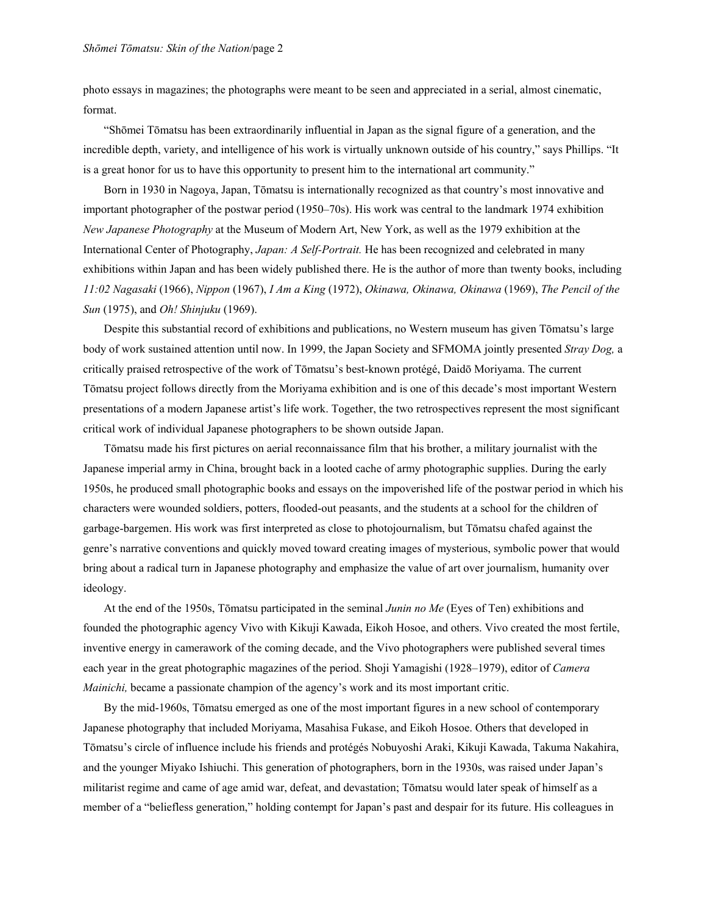photo essays in magazines; the photographs were meant to be seen and appreciated in a serial, almost cinematic, format.

"Shōmei Tōmatsu has been extraordinarily influential in Japan as the signal figure of a generation, and the incredible depth, variety, and intelligence of his work is virtually unknown outside of his country," says Phillips. "It is a great honor for us to have this opportunity to present him to the international art community."

Born in 1930 in Nagoya, Japan, Tōmatsu is internationally recognized as that country's most innovative and important photographer of the postwar period (1950–70s). His work was central to the landmark 1974 exhibition *New Japanese Photography* at the Museum of Modern Art, New York, as well as the 1979 exhibition at the International Center of Photography, *Japan: A Self-Portrait.* He has been recognized and celebrated in many exhibitions within Japan and has been widely published there. He is the author of more than twenty books, including *11:02 Nagasaki* (1966), *Nippon* (1967), *I Am a King* (1972), *Okinawa, Okinawa, Okinawa* (1969), *The Pencil of the Sun* (1975), and *Oh! Shinjuku* (1969).

Despite this substantial record of exhibitions and publications, no Western museum has given Tōmatsu's large body of work sustained attention until now. In 1999, the Japan Society and SFMOMA jointly presented *Stray Dog,* a critically praised retrospective of the work of Tōmatsu's best-known protégé, Daidō Moriyama. The current Tōmatsu project follows directly from the Moriyama exhibition and is one of this decade's most important Western presentations of a modern Japanese artist's life work. Together, the two retrospectives represent the most significant critical work of individual Japanese photographers to be shown outside Japan.

Tōmatsu made his first pictures on aerial reconnaissance film that his brother, a military journalist with the Japanese imperial army in China, brought back in a looted cache of army photographic supplies. During the early 1950s, he produced small photographic books and essays on the impoverished life of the postwar period in which his characters were wounded soldiers, potters, flooded-out peasants, and the students at a school for the children of garbage-bargemen. His work was first interpreted as close to photojournalism, but Tōmatsu chafed against the genre's narrative conventions and quickly moved toward creating images of mysterious, symbolic power that would bring about a radical turn in Japanese photography and emphasize the value of art over journalism, humanity over ideology.

At the end of the 1950s, Tōmatsu participated in the seminal *Junin no Me* (Eyes of Ten) exhibitions and founded the photographic agency Vivo with Kikuji Kawada, Eikoh Hosoe, and others. Vivo created the most fertile, inventive energy in camerawork of the coming decade, and the Vivo photographers were published several times each year in the great photographic magazines of the period. Shoji Yamagishi (1928–1979), editor of *Camera Mainichi,* became a passionate champion of the agency's work and its most important critic.

By the mid-1960s, Tōmatsu emerged as one of the most important figures in a new school of contemporary Japanese photography that included Moriyama, Masahisa Fukase, and Eikoh Hosoe. Others that developed in Tōmatsu's circle of influence include his friends and protégés Nobuyoshi Araki, Kikuji Kawada, Takuma Nakahira, and the younger Miyako Ishiuchi. This generation of photographers, born in the 1930s, was raised under Japan's militarist regime and came of age amid war, defeat, and devastation; Tōmatsu would later speak of himself as a member of a "beliefless generation," holding contempt for Japan's past and despair for its future. His colleagues in